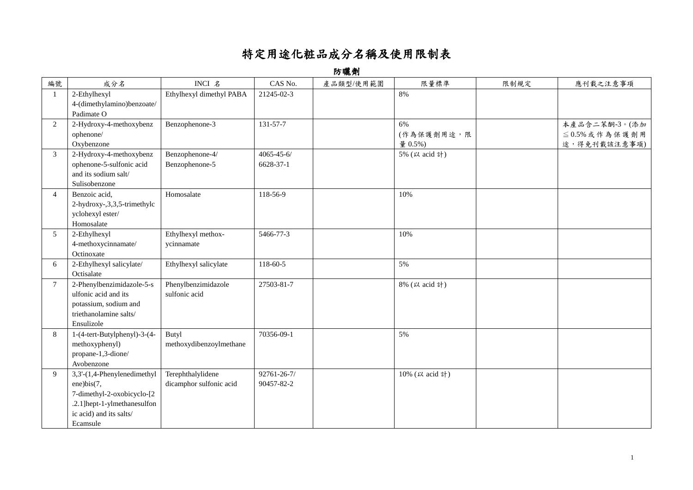## 特定用途化粧品成分名稱及使用限制表

防曬劑

| 編號             | 成分名                                                                                                                                            | INCI 名                                       | CAS No.                       | 產品類型/使用範圍 | 限量標準                        | 限制規定 | 應刊載之注意事項                                             |
|----------------|------------------------------------------------------------------------------------------------------------------------------------------------|----------------------------------------------|-------------------------------|-----------|-----------------------------|------|------------------------------------------------------|
|                | 2-Ethylhexyl<br>4-(dimethylamino)benzoate/<br>Padimate O                                                                                       | Ethylhexyl dimethyl PABA                     | 21245-02-3                    |           | 8%                          |      |                                                      |
| 2              | 2-Hydroxy-4-methoxybenz<br>ophenone/<br>Oxybenzone                                                                                             | Benzophenone-3                               | 131-57-7                      |           | 6%<br>(作為保護劑用途,限<br>量 0.5%) |      | 本產品含二苯酮-3。(添加<br>$\leq$ 0.5% 或作為保護劑用<br>途,得免刊載該注意事項) |
| 3              | 2-Hydroxy-4-methoxybenz<br>ophenone-5-sulfonic acid<br>and its sodium salt/<br>Sulisobenzone                                                   | Benzophenone-4/<br>Benzophenone-5            | $4065 - 45 - 6/$<br>6628-37-1 |           | 5% (以 acid 計)               |      |                                                      |
| $\overline{4}$ | Benzoic acid,<br>2-hydroxy-,3,3,5-trimethylc<br>yclohexyl ester/<br>Homosalate                                                                 | Homosalate                                   | 118-56-9                      |           | 10%                         |      |                                                      |
| 5              | 2-Ethylhexyl<br>4-methoxycinnamate/<br>Octinoxate                                                                                              | Ethylhexyl methox-<br>ycinnamate             | 5466-77-3                     |           | 10%                         |      |                                                      |
| 6              | 2-Ethylhexyl salicylate/<br>Octisalate                                                                                                         | Ethylhexyl salicylate                        | 118-60-5                      |           | 5%                          |      |                                                      |
| $\overline{7}$ | 2-Phenylbenzimidazole-5-s<br>ulfonic acid and its<br>potassium, sodium and<br>triethanolamine salts/<br>Ensulizole                             | Phenylbenzimidazole<br>sulfonic acid         | 27503-81-7                    |           | 8% (以 acid 計)               |      |                                                      |
| 8              | 1-(4-tert-Butylphenyl)-3-(4-<br>methoxyphenyl)<br>propane-1,3-dione/<br>Avobenzone                                                             | Butyl<br>methoxydibenzoylmethane             | 70356-09-1                    |           | 5%                          |      |                                                      |
| $\mathbf Q$    | 3,3'-(1,4-Phenylenedimethyl<br>ene)bis(7,<br>7-dimethyl-2-oxobicyclo-[2<br>.2.1] hept-1-ylmethanesulfon<br>ic acid) and its salts/<br>Ecamsule | Terephthalylidene<br>dicamphor sulfonic acid | 92761-26-7/<br>90457-82-2     |           | 10% (以 acid 計)              |      |                                                      |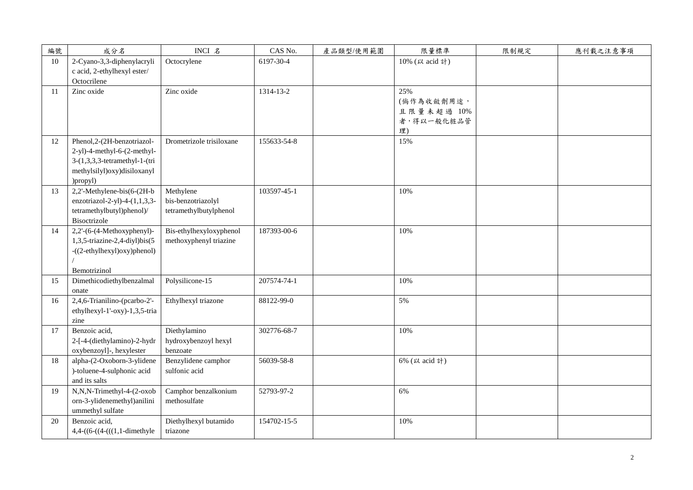| 編號 | 成分名                                                                                                                                   | INCI 名                                                    | CAS No.     | 產品類型/使用範圍 | 限量標準                                                | 限制規定 | 應刊載之注意事項 |
|----|---------------------------------------------------------------------------------------------------------------------------------------|-----------------------------------------------------------|-------------|-----------|-----------------------------------------------------|------|----------|
| 10 | 2-Cyano-3,3-diphenylacryli<br>c acid, 2-ethylhexyl ester/<br>Octocrilene                                                              | Octocrylene                                               | 6197-30-4   |           | 10% (以 acid 計)                                      |      |          |
| 11 | Zinc oxide                                                                                                                            | Zinc oxide                                                | 1314-13-2   |           | 25%<br>(倘作為收斂劑用途,<br>且限量未超過 10%<br>者,得以一般化粧品管<br>理) |      |          |
| 12 | Phenol,2-(2H-benzotriazol-<br>2-yl)-4-methyl-6-(2-methyl-<br>3-(1,3,3,3-tetramethyl-1-(tri<br>methylsilyl)oxy)disiloxanyl<br>)propyl) | Drometrizole trisiloxane                                  | 155633-54-8 |           | 15%                                                 |      |          |
| 13 | 2,2'-Methylene-bis(6-(2H-b<br>enzotriazol-2-yl)-4- $(1,1,3,3$ -<br>tetramethylbutyl)phenol)/<br>Bisoctrizole                          | Methylene<br>bis-benzotriazolyl<br>tetramethylbutylphenol | 103597-45-1 |           | 10%                                                 |      |          |
| 14 | $2,2-(6-(4-Methoxyphenyl)-$<br>1,3,5-triazine-2,4-diyl)bis(5<br>-((2-ethylhexyl)oxy)phenol)<br>Bemotrizinol                           | Bis-ethylhexyloxyphenol<br>methoxyphenyl triazine         | 187393-00-6 |           | 10%                                                 |      |          |
| 15 | Dimethicodiethylbenzalmal<br>onate                                                                                                    | Polysilicone-15                                           | 207574-74-1 |           | 10%                                                 |      |          |
| 16 | 2,4,6-Trianilino-(pcarbo-2'-<br>ethylhexyl-1'-oxy)-1,3,5-tria<br>zine                                                                 | Ethylhexyl triazone                                       | 88122-99-0  |           | 5%                                                  |      |          |
| 17 | Benzoic acid,<br>2-[-4-(diethylamino)-2-hydr<br>oxybenzoyl]-, hexylester                                                              | Diethylamino<br>hydroxybenzoyl hexyl<br>benzoate          | 302776-68-7 |           | 10%                                                 |      |          |
| 18 | alpha-(2-Oxoborn-3-ylidene<br>)-toluene-4-sulphonic acid<br>and its salts                                                             | Benzylidene camphor<br>sulfonic acid                      | 56039-58-8  |           | 6% (以 acid 計)                                       |      |          |
| 19 | N,N,N-Trimethyl-4-(2-oxob<br>orn-3-ylidenemethyl)anilini<br>ummethyl sulfate                                                          | Camphor benzalkonium<br>methosulfate                      | 52793-97-2  |           | 6%                                                  |      |          |
| 20 | Benzoic acid,<br>$4,4-((6-((4-(((1,1{\text -dimethyle}$                                                                               | Diethylhexyl butamido<br>triazone                         | 154702-15-5 |           | 10%                                                 |      |          |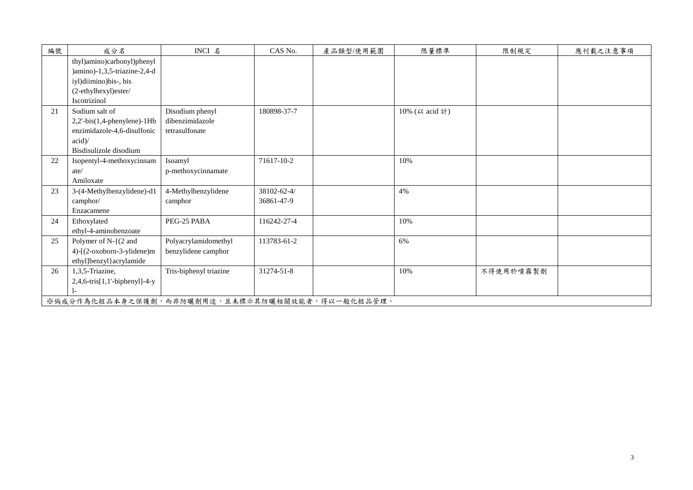| 編號 | 成分名                                                        | INCI 名                 | CAS No.     | 產品類型/使用範圍 | 限量標準           | 限制規定      | 應刊載之注意事項 |
|----|------------------------------------------------------------|------------------------|-------------|-----------|----------------|-----------|----------|
|    | thyl)amino)carbonyl)phenyl<br>)amino)-1,3,5-triazine-2,4-d |                        |             |           |                |           |          |
|    | iyl)diimino)bis-, bis                                      |                        |             |           |                |           |          |
|    | (2-ethylhexyl)ester/                                       |                        |             |           |                |           |          |
|    | Iscotrizinol                                               |                        |             |           |                |           |          |
| 21 | Sodium salt of                                             | Disodium phenyl        | 180898-37-7 |           | 10% (以 acid 計) |           |          |
|    | $2,2'-bis(1,4-phenylene)-1Hb$                              | dibenzimidazole        |             |           |                |           |          |
|    | enzimidazole-4,6-disulfonic                                | tetrasulfonate         |             |           |                |           |          |
|    | acid                                                       |                        |             |           |                |           |          |
|    | Bisdisulizole disodium                                     |                        |             |           |                |           |          |
| 22 | Isopentyl-4-methoxycinnam                                  | Isoamyl                | 71617-10-2  |           | 10%            |           |          |
|    | ate/                                                       | p-methoxycinnamate     |             |           |                |           |          |
|    | Amiloxate                                                  |                        |             |           |                |           |          |
| 23 | 3-(4-Methylbenzylidene)-d1                                 | 4-Methylbenzylidene    | 38102-62-4/ |           | 4%             |           |          |
|    | camphor/                                                   | camphor                | 36861-47-9  |           |                |           |          |
|    | Enzacamene                                                 |                        |             |           |                |           |          |
| 24 | Ethoxylated                                                | PEG-25 PABA            | 116242-27-4 |           | 10%            |           |          |
|    | ethyl-4-aminobenzoate                                      |                        |             |           |                |           |          |
| 25 | Polymer of $N-$ { $(2 \text{ and }$                        | Polyacrylamidomethyl   | 113783-61-2 |           | 6%             |           |          |
|    | 4)-[(2-oxoborn-3-ylidene)m                                 | benzylidene camphor    |             |           |                |           |          |
|    | ethyl]benzyl}acrylamide                                    |                        |             |           |                |           |          |
| 26 | 1,3,5-Triazine,                                            | Tris-biphenyl triazine | 31274-51-8  |           | 10%            | 不得使用於噴霧製劑 |          |
|    | $2,4,6$ -tris $[1,1'-bipheny]$ -4-y                        |                        |             |           |                |           |          |
|    |                                                            |                        |             |           |                |           |          |
|    | ※倘成分作為化粧品本身之保護劑,而非防曬劑用途,且未標示其防曬相關效能者,得以一般化粧品管理。            |                        |             |           |                |           |          |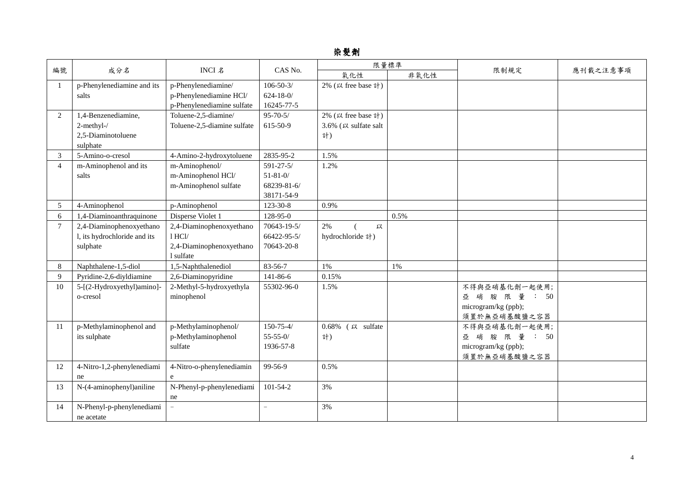## 染髮劑

|                |                                         | 限量標準                                           |                                   |                                 |      |                                                                        |          |
|----------------|-----------------------------------------|------------------------------------------------|-----------------------------------|---------------------------------|------|------------------------------------------------------------------------|----------|
| 編號             | 成分名                                     | INCI 名                                         | CAS No.                           | 氧化性                             | 非氧化性 | 限制規定                                                                   | 應刊載之注意事項 |
|                | p-Phenylenediamine and its<br>salts     | p-Phenylenediamine/<br>p-Phenylenediamine HCl/ | $106 - 50 - 3/$<br>$624 - 18 - 0$ | 2% (以 free base 計)              |      |                                                                        |          |
|                |                                         | p-Phenylenediamine sulfate                     | 16245-77-5                        |                                 |      |                                                                        |          |
| $\overline{2}$ | 1,4-Benzenediamine,                     | Toluene-2,5-diamine/                           | $95 - 70 - 5/$                    | 2% (以 free base 計)              |      |                                                                        |          |
|                | 2-methyl-/                              | Toluene-2,5-diamine sulfate                    | 615-50-9                          | 3.6% (以 sulfate salt            |      |                                                                        |          |
|                | 2,5-Diaminotoluene                      |                                                |                                   | 計)                              |      |                                                                        |          |
|                | sulphate                                |                                                |                                   |                                 |      |                                                                        |          |
| 3              | 5-Amino-o-cresol                        | 4-Amino-2-hydroxytoluene                       | 2835-95-2                         | 1.5%                            |      |                                                                        |          |
| $\overline{4}$ | m-Aminophenol and its                   | m-Aminophenol/                                 | $591 - 27 - 5/$                   | 1.2%                            |      |                                                                        |          |
|                | salts                                   | m-Aminophenol HCl/                             | $51 - 81 - 0/$                    |                                 |      |                                                                        |          |
|                |                                         | m-Aminophenol sulfate                          | 68239-81-6/                       |                                 |      |                                                                        |          |
|                |                                         |                                                | 38171-54-9                        |                                 |      |                                                                        |          |
| 5              | 4-Aminophenol                           | p-Aminophenol                                  | 123-30-8                          | 0.9%                            |      |                                                                        |          |
| 6              | 1,4-Diaminoanthraquinone                | Disperse Violet 1                              | 128-95-0                          |                                 | 0.5% |                                                                        |          |
| $\tau$         | 2,4-Diaminophenoxyethano                | 2,4-Diaminophenoxyethano                       | 70643-19-5/                       | 2%<br>以                         |      |                                                                        |          |
|                | l, its hydrochloride and its            | $1$ HCl/                                       | 66422-95-5/                       | hydrochloride 計)                |      |                                                                        |          |
|                | sulphate                                | 2,4-Diaminophenoxyethano<br>1 sulfate          | 70643-20-8                        |                                 |      |                                                                        |          |
| 8              | Naphthalene-1,5-diol                    | 1,5-Naphthalenediol                            | 83-56-7                           | 1%                              | 1%   |                                                                        |          |
| $\mathbf{Q}$   | Pyridine-2,6-diyldiamine                | 2,6-Diaminopyridine                            | 141-86-6                          | 0.15%                           |      |                                                                        |          |
| 10             | 5-[(2-Hydroxyethyl)amino]-<br>o-cresol  | 2-Methyl-5-hydroxyethyla<br>minophenol         | 55302-96-0                        | 1.5%                            |      | 不得與亞硝基化劑一起使用;<br>亞 硝 胺 限 量 : 50<br>microgram/kg (ppb);<br>須置於無亞硝基酸鹽之容器 |          |
| 11             | p-Methylaminophenol and                 | p-Methylaminophenol/                           | $150 - 75 - 4/$                   | 0.68% $(X, \mathbb{R})$ sulfate |      | 不得與亞硝基化劑一起使用;                                                          |          |
|                | its sulphate                            | p-Methylaminophenol                            | $55 - 55 - 0/$                    | 計)                              |      | 亞 硝 胺 限 量 : 50                                                         |          |
|                |                                         | sulfate                                        | 1936-57-8                         |                                 |      | microgram/kg (ppb);                                                    |          |
|                |                                         |                                                |                                   |                                 |      | 須置於無亞硝基酸鹽之容器                                                           |          |
| 12             | 4-Nitro-1,2-phenylenediami              | 4-Nitro-o-phenylenediamin                      | 99-56-9                           | 0.5%                            |      |                                                                        |          |
|                | ne                                      | e                                              |                                   |                                 |      |                                                                        |          |
| 13             | N-(4-aminophenyl)aniline                | N-Phenyl-p-phenylenediami<br>ne                | $101 - 54 - 2$                    | 3%                              |      |                                                                        |          |
| 14             | N-Phenyl-p-phenylenediami<br>ne acetate |                                                | $\overline{\phantom{a}}$          | 3%                              |      |                                                                        |          |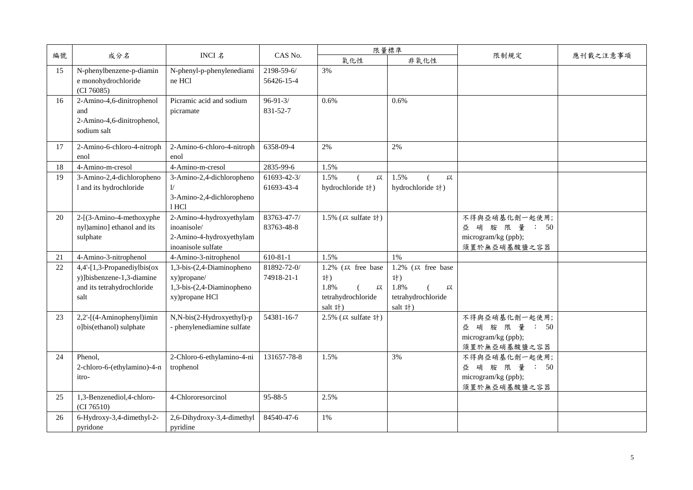|    |                                                                                                |                                                                                           |                            |                                                                       | 限量標準                                                                  |                                                                        |          |
|----|------------------------------------------------------------------------------------------------|-------------------------------------------------------------------------------------------|----------------------------|-----------------------------------------------------------------------|-----------------------------------------------------------------------|------------------------------------------------------------------------|----------|
| 編號 | 成分名                                                                                            | INCI 名                                                                                    | CAS No.                    | 氧化性                                                                   | 非氧化性                                                                  | 限制規定                                                                   | 應刊載之注意事項 |
| 15 | N-phenylbenzene-p-diamin<br>e monohydrochloride<br>(CI 76085)                                  | N-phenyl-p-phenylenediami<br>ne HCl                                                       | 2198-59-6/<br>56426-15-4   | 3%                                                                    |                                                                       |                                                                        |          |
| 16 | 2-Amino-4,6-dinitrophenol<br>and<br>2-Amino-4,6-dinitrophenol,<br>sodium salt                  | Picramic acid and sodium<br>picramate                                                     | $96 - 91 - 3/$<br>831-52-7 | 0.6%                                                                  | 0.6%                                                                  |                                                                        |          |
| 17 | 2-Amino-6-chloro-4-nitroph<br>enol                                                             | 2-Amino-6-chloro-4-nitroph<br>enol                                                        | 6358-09-4                  | 2%                                                                    | 2%                                                                    |                                                                        |          |
| 18 | 4-Amino-m-cresol                                                                               | 4-Amino-m-cresol                                                                          | 2835-99-6                  | 1.5%                                                                  |                                                                       |                                                                        |          |
| 19 | 3-Amino-2,4-dichloropheno<br>1 and its hydrochloride                                           | 3-Amino-2,4-dichloropheno<br>1/<br>3-Amino-2,4-dichloropheno<br>1 HCl                     | 61693-42-3/<br>61693-43-4  | 1.5%<br>以<br>hydrochloride 計)                                         | 1.5%<br>以<br>hydrochloride 計)                                         |                                                                        |          |
| 20 | 2-[(3-Amino-4-methoxyphe<br>nyl)amino] ethanol and its<br>sulphate                             | 2-Amino-4-hydroxyethylam<br>inoanisole/<br>2-Amino-4-hydroxyethylam<br>inoanisole sulfate | 83763-47-7/<br>83763-48-8  | 1.5% (以 sulfate 計)                                                    |                                                                       | 不得與亞硝基化劑一起使用;<br>亞 硝 胺 限 量 : 50<br>microgram/kg (ppb);<br>須置於無亞硝基酸鹽之容器 |          |
| 21 | 4-Amino-3-nitrophenol                                                                          | 4-Amino-3-nitrophenol                                                                     | $610-81-1$                 | 1.5%                                                                  | 1%                                                                    |                                                                        |          |
| 22 | 4,4'-[1,3-Propanediylbis(ox<br>y)]bisbenzene-1,3-diamine<br>and its tetrahydrochloride<br>salt | 1,3-bis-(2,4-Diaminopheno<br>xy)propane/<br>1,3-bis-(2,4-Diaminopheno<br>xy)propane HCl   | 81892-72-0/<br>74918-21-1  | 1.2% (以 free base<br>計)<br>1.8%<br>以<br>tetrahydrochloride<br>salt 計) | 1.2% (以 free base<br>計)<br>1.8%<br>以<br>tetrahydrochloride<br>salt 計) |                                                                        |          |
| 23 | 2,2'-[(4-Aminophenyl)imin<br>o]bis(ethanol) sulphate                                           | N,N-bis(2-Hydroxyethyl)-p<br>- phenylenediamine sulfate                                   | 54381-16-7                 | 2.5% (以 sulfate 計)                                                    |                                                                       | 不得與亞硝基化劑一起使用;<br>亞 硝 胺 限 量 : 50<br>microgram/kg (ppb);<br>須置於無亞硝基酸鹽之容器 |          |
| 24 | Phenol.<br>2-chloro-6-(ethylamino)-4-n<br>itro-                                                | 2-Chloro-6-ethylamino-4-ni<br>trophenol                                                   | 131657-78-8                | 1.5%                                                                  | 3%                                                                    | 不得與亞硝基化劑一起使用;<br>亞 硝 胺 限 量 : 50<br>microgram/kg (ppb);<br>須置於無亞硝基酸鹽之容器 |          |
| 25 | 1,3-Benzenediol,4-chloro-<br>(CI 76510)                                                        | 4-Chlororesorcinol                                                                        | 95-88-5                    | 2.5%                                                                  |                                                                       |                                                                        |          |
| 26 | 6-Hydroxy-3,4-dimethyl-2-<br>pyridone                                                          | 2,6-Dihydroxy-3,4-dimethyl<br>pyridine                                                    | 84540-47-6                 | 1%                                                                    |                                                                       |                                                                        |          |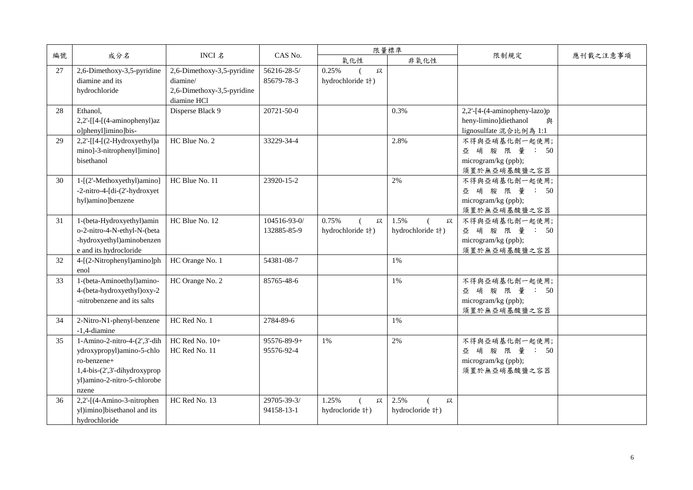|    |                                                                                                                                                        |                                                                                     |                                  |                                | 限量標準                          |                                                                                      |          |
|----|--------------------------------------------------------------------------------------------------------------------------------------------------------|-------------------------------------------------------------------------------------|----------------------------------|--------------------------------|-------------------------------|--------------------------------------------------------------------------------------|----------|
| 編號 | 成分名                                                                                                                                                    | INCI 名                                                                              | CAS No.                          | 氧化性                            | 非氧化性                          | 限制規定                                                                                 | 應刊載之注意事項 |
| 27 | 2,6-Dimethoxy-3,5-pyridine<br>diamine and its<br>hydrochloride                                                                                         | 2,6-Dimethoxy-3,5-pyridine<br>diamine/<br>2,6-Dimethoxy-3,5-pyridine<br>diamine HCl | 56216-28-5/<br>85679-78-3        | 0.25%<br>以<br>hydrochloride 計) |                               |                                                                                      |          |
| 28 | Ethanol,<br>$2,2'$ -[[4-[(4-aminophenyl)az<br>o]phenyl]imino]bis-                                                                                      | Disperse Black 9                                                                    | 20721-50-0                       |                                | 0.3%                          | 2,2'-[4-(4-aminopheny-lazo)p<br>heny-limino]diethanol<br>與<br>lignosulfate 混合比例為 1:1 |          |
| 29 | $2,2'$ -[[4-[(2-Hydroxyethyl)a<br>mino]-3-nitrophenyl]imino]<br>bisethanol                                                                             | HC Blue No. 2                                                                       | 33229-34-4                       |                                | 2.8%                          | 不得與亞硝基化劑一起使用;<br>亞 硝 胺 限 量 : 50<br>microgram/kg (ppb);<br>須置於無亞硝基酸鹽之容器               |          |
| 30 | 1-[(2'-Methoxyethyl)amino]<br>-2-nitro-4-[di-(2'-hydroxyet<br>hyl)amino]benzene                                                                        | HC Blue No. 11                                                                      | 23920-15-2                       |                                | 2%                            | 不得與亞硝基化劑一起使用;<br>亞 硝 胺 限 量 : 50<br>microgram/kg (ppb);<br>須置於無亞硝基酸鹽之容器               |          |
| 31 | 1-(beta-Hydroxyethyl)amin<br>o-2-nitro-4-N-ethyl-N-(beta<br>-hydroxyethyl)aminobenzen<br>e and its hydrocloride                                        | HC Blue No. 12                                                                      | 104516-93-0/<br>132885-85-9      | 0.75%<br>以<br>hydrochloride 計) | 1.5%<br>以<br>hydrochloride 計) | 不得與亞硝基化劑一起使用;<br>亞 硝 胺 限 量 : 50<br>microgram/kg (ppb);<br>須置於無亞硝基酸鹽之容器               |          |
| 32 | 4-[(2-Nitrophenyl)amino]ph<br>enol                                                                                                                     | HC Orange No. 1                                                                     | 54381-08-7                       |                                | 1%                            |                                                                                      |          |
| 33 | 1-(beta-Aminoethyl)amino-<br>4-(beta-hydroxyethyl)oxy-2<br>-nitrobenzene and its salts                                                                 | HC Orange No. 2                                                                     | 85765-48-6                       |                                | 1%                            | 不得與亞硝基化劑一起使用;<br>亞 硝 胺 限 量 : 50<br>microgram/kg (ppb);<br>須置於無亞硝基酸鹽之容器               |          |
| 34 | 2-Nitro-N1-phenyl-benzene<br>-1,4-diamine                                                                                                              | HC Red No. 1                                                                        | 2784-89-6                        |                                | 1%                            |                                                                                      |          |
| 35 | $1-Amino-2-nitro-4-(2',3'-dih)$<br>ydroxypropyl)amino-5-chlo<br>ro-benzene+<br>$1,4-bis-(2',3'-dihydroxyprop)$<br>yl)amino-2-nitro-5-chlorobe<br>nzene | HC Red No. 10+<br>HC Red No. 11                                                     | $95576 - 89 - 9 +$<br>95576-92-4 | 1%                             | 2%                            | 不得與亞硝基化劑一起使用;<br>亞 硝胺 限量: 50<br>microgram/kg (ppb);<br>須置於無亞硝基酸鹽之容器                  |          |
| 36 | 2,2'-[(4-Amino-3-nitrophen<br>yl)imino]bisethanol and its<br>hydrochloride                                                                             | HC Red No. 13                                                                       | 29705-39-3/<br>94158-13-1        | 1.25%<br>以<br>hydrocloride 計)  | 2.5%<br>以<br>hydrocloride 計)  |                                                                                      |          |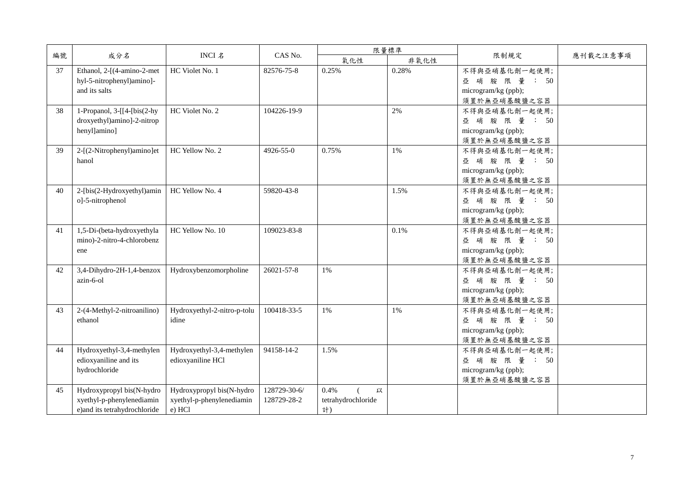|    |                                                                                        |                                                                  |                             |                                       | 限量標準  |                                                                         |          |
|----|----------------------------------------------------------------------------------------|------------------------------------------------------------------|-----------------------------|---------------------------------------|-------|-------------------------------------------------------------------------|----------|
| 編號 | 成分名                                                                                    | <b>INCI 名</b>                                                    | CAS No.                     | 氧化性                                   | 非氧化性  | 限制規定                                                                    | 應刊載之注意事項 |
| 37 | Ethanol, 2-[(4-amino-2-met<br>hyl-5-nitrophenyl)amino]-<br>and its salts               | HC Violet No. 1                                                  | 82576-75-8                  | 0.25%                                 | 0.28% | 不得與亞硝基化劑一起使用;<br>亞 硝 胺 限 量 : 50<br>microgram/kg (ppb);<br>須置於無亞硝基酸鹽之容器  |          |
| 38 | 1-Propanol, $3-[[4-[bis(2-hy$<br>droxyethyl)amino]-2-nitrop<br>henyl]amino]            | HC Violet No. 2                                                  | 104226-19-9                 |                                       | 2%    | 不得與亞硝基化劑一起使用;<br>亞 硝 胺 限 量 : 50<br>microgram/kg (ppb);<br>須置於無亞硝基酸鹽之容器  |          |
| 39 | 2-[(2-Nitrophenyl)amino]et<br>hanol                                                    | HC Yellow No. 2                                                  | 4926-55-0                   | 0.75%                                 | $1\%$ | 不得與亞硝基化劑一起使用;<br>亞 硝 胺 限 量 : 50<br>microgram/kg (ppb);<br>須置於無亞硝基酸鹽之容器  |          |
| 40 | 2-[bis(2-Hydroxyethyl)amin<br>o]-5-nitrophenol                                         | HC Yellow No. 4                                                  | 59820-43-8                  |                                       | 1.5%  | 不得與亞硝基化劑一起使用;<br>亞 硝 胺 限 量 : 50<br>microgram/kg (ppb);<br>須置於無亞硝基酸鹽之容器  |          |
| 41 | 1,5-Di-(beta-hydroxyethyla<br>mino)-2-nitro-4-chlorobenz<br>ene                        | HC Yellow No. 10                                                 | 109023-83-8                 |                                       | 0.1%  | 不得與亞硝基化劑一起使用;<br>亞 硝 胺 限 量 : 50<br>microgram/kg (ppb);<br>須置於無亞硝基酸鹽之容器  |          |
| 42 | 3,4-Dihydro-2H-1,4-benzox<br>$azin-6-0l$                                               | Hydroxybenzomorpholine                                           | 26021-57-8                  | $1\%$                                 |       | 不得與亞硝基化劑一起使用;<br>亞 硝 胺 限 量 : 50<br>microgram/kg (ppb);<br>須置於無亞硝基酸鹽之容器  |          |
| 43 | 2-(4-Methyl-2-nitroanilino)<br>ethanol                                                 | Hydroxyethyl-2-nitro-p-tolu<br>idine                             | 100418-33-5                 | 1%                                    | 1%    | 不得與亞硝基化劑一起使用;<br>限 量 : 50<br>亞硝胺<br>microgram/kg (ppb);<br>須置於無亞硝基酸鹽之容器 |          |
| 44 | Hydroxyethyl-3,4-methylen<br>edioxyaniline and its<br>hydrochloride                    | Hydroxyethyl-3,4-methylen<br>edioxyaniline HCl                   | 94158-14-2                  | 1.5%                                  |       | 不得與亞硝基化劑一起使用;<br>亞硝胺<br>限 量 : 50<br>microgram/kg (ppb);<br>須置於無亞硝基酸鹽之容器 |          |
| 45 | Hydroxypropyl bis(N-hydro<br>xyethyl-p-phenylenediamin<br>e)and its tetrahydrochloride | Hydroxypropyl bis(N-hydro<br>xyethyl-p-phenylenediamin<br>e) HCl | 128729-30-6/<br>128729-28-2 | 0.4%<br>以<br>tetrahydrochloride<br>計) |       |                                                                         |          |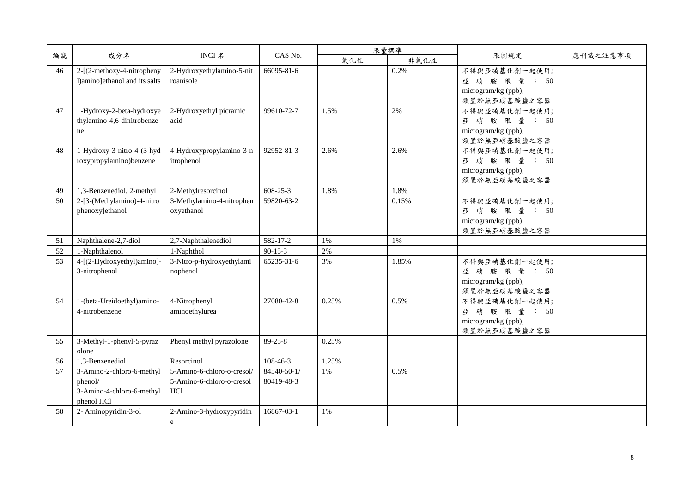|    |                                                                                 |                                                                       |                           |       | 限量標準  |                                                                        |          |
|----|---------------------------------------------------------------------------------|-----------------------------------------------------------------------|---------------------------|-------|-------|------------------------------------------------------------------------|----------|
| 編號 | 成分名                                                                             | INCI 名                                                                | CAS No.                   | 氧化性   | 非氧化性  | 限制規定                                                                   | 應刊載之注意事項 |
| 46 | 2-[(2-methoxy-4-nitropheny<br>l)amino]ethanol and its salts                     | 2-Hydroxyethylamino-5-nit<br>roanisole                                | 66095-81-6                |       | 0.2%  | 不得與亞硝基化劑一起使用;<br>亞 硝 胺 限 量 : 50<br>microgram/kg (ppb);<br>須置於無亞硝基酸鹽之容器 |          |
| 47 | 1-Hydroxy-2-beta-hydroxye<br>thylamino-4,6-dinitrobenze<br>ne                   | 2-Hydroxyethyl picramic<br>acid                                       | 99610-72-7                | 1.5%  | 2%    | 不得與亞硝基化劑一起使用;<br>亞 硝 胺 限 量 : 50<br>microgram/kg (ppb);<br>須置於無亞硝基酸鹽之容器 |          |
| 48 | 1-Hydroxy-3-nitro-4-(3-hyd<br>roxypropylamino)benzene                           | 4-Hydroxypropylamino-3-n<br>itrophenol                                | 92952-81-3                | 2.6%  | 2.6%  | 不得與亞硝基化劑一起使用;<br>亞 硝 胺 限 量 : 50<br>microgram/kg (ppb);<br>須置於無亞硝基酸鹽之容器 |          |
| 49 | 1,3-Benzenediol, 2-methyl                                                       | 2-Methylresorcinol                                                    | 608-25-3                  | 1.8%  | 1.8%  |                                                                        |          |
| 50 | 2-[3-(Methylamino)-4-nitro<br>phenoxy]ethanol                                   | 3-Methylamino-4-nitrophen<br>oxyethanol                               | 59820-63-2                |       | 0.15% | 不得與亞硝基化劑一起使用;<br>亞 硝 胺 限 量 : 50<br>microgram/kg (ppb);<br>須置於無亞硝基酸鹽之容器 |          |
| 51 | Naphthalene-2,7-diol                                                            | 2,7-Naphthalenediol                                                   | 582-17-2                  | 1%    | 1%    |                                                                        |          |
| 52 | 1-Naphthalenol                                                                  | 1-Naphthol                                                            | $90-15-3$                 | 2%    |       |                                                                        |          |
| 53 | 4-[(2-Hydroxyethyl)amino]-<br>3-nitrophenol                                     | 3-Nitro-p-hydroxyethylami<br>nophenol                                 | 65235-31-6                | 3%    | 1.85% | 不得與亞硝基化劑一起使用;<br>亞 硝胺 限量: 50<br>microgram/kg (ppb);<br>須置於無亞硝基酸鹽之容器    |          |
| 54 | 1-(beta-Ureidoethyl)amino-<br>4-nitrobenzene                                    | 4-Nitrophenyl<br>aminoethylurea                                       | 27080-42-8                | 0.25% | 0.5%  | 不得與亞硝基化劑一起使用;<br>亞 硝胺 限量: 50<br>microgram/kg (ppb);<br>須置於無亞硝基酸鹽之容器    |          |
| 55 | 3-Methyl-1-phenyl-5-pyraz<br>olone                                              | Phenyl methyl pyrazolone                                              | $89 - 25 - 8$             | 0.25% |       |                                                                        |          |
| 56 | 1,3-Benzenediol                                                                 | Resorcinol                                                            | 108-46-3                  | 1.25% |       |                                                                        |          |
| 57 | 3-Amino-2-chloro-6-methyl<br>phenol/<br>3-Amino-4-chloro-6-methyl<br>phenol HCl | 5-Amino-6-chloro-o-cresol/<br>5-Amino-6-chloro-o-cresol<br><b>HCl</b> | 84540-50-1/<br>80419-48-3 | $1\%$ | 0.5%  |                                                                        |          |
| 58 | 2- Aminopyridin-3-ol                                                            | 2-Amino-3-hydroxypyridin<br>e                                         | 16867-03-1                | 1%    |       |                                                                        |          |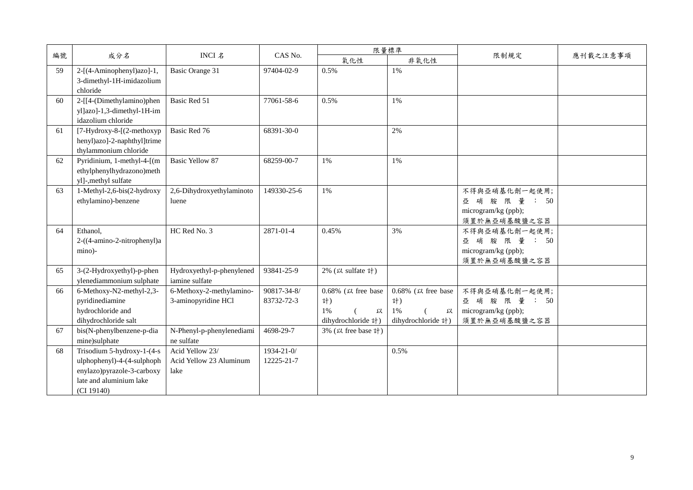|    |                                                                                                                                 |                                                    |                           |                                                                   | 限量標準                                                              |                                                                        |          |
|----|---------------------------------------------------------------------------------------------------------------------------------|----------------------------------------------------|---------------------------|-------------------------------------------------------------------|-------------------------------------------------------------------|------------------------------------------------------------------------|----------|
| 編號 | 成分名                                                                                                                             | INCI 名                                             | CAS No.                   | 氧化性                                                               | 非氧化性                                                              | 限制規定                                                                   | 應刊載之注意事項 |
| 59 | 2-[(4-Aminophenyl)azo]-1,<br>3-dimethyl-1H-imidazolium<br>chloride                                                              | <b>Basic Orange 31</b>                             | 97404-02-9                | 0.5%                                                              | $1\%$                                                             |                                                                        |          |
| 60 | 2-[[4-(Dimethylamino)phen<br>yl]azo]-1,3-dimethyl-1H-im<br>idazolium chloride                                                   | Basic Red 51                                       | 77061-58-6                | 0.5%                                                              | 1%                                                                |                                                                        |          |
| 61 | [7-Hydroxy-8-[(2-methoxyp<br>henyl)azo]-2-naphthyl]trime<br>thylammonium chloride                                               | Basic Red 76                                       | 68391-30-0                |                                                                   | 2%                                                                |                                                                        |          |
| 62 | Pyridinium, 1-methyl-4-[(m<br>ethylphenylhydrazono)meth<br>yl]-,methyl sulfate                                                  | <b>Basic Yellow 87</b>                             | 68259-00-7                | $1\%$                                                             | 1%                                                                |                                                                        |          |
| 63 | 1-Methyl-2,6-bis(2-hydroxy<br>ethylamino)-benzene                                                                               | 2,6-Dihydroxyethylaminoto<br>luene                 | 149330-25-6               | $1\%$                                                             |                                                                   | 不得與亞硝基化劑一起使用;<br>亞 硝 胺 限 量 : 50<br>microgram/kg (ppb);<br>須置於無亞硝基酸鹽之容器 |          |
| 64 | Ethanol,<br>2-((4-amino-2-nitrophenyl)a<br>mino)-                                                                               | HC Red No. 3                                       | 2871-01-4                 | 0.45%                                                             | 3%                                                                | 不得與亞硝基化劑一起使用;<br>亞 硝 胺 限 量 : 50<br>microgram/kg (ppb);<br>須置於無亞硝基酸鹽之容器 |          |
| 65 | 3-(2-Hydroxyethyl)-p-phen<br>ylenediammonium sulphate                                                                           | Hydroxyethyl-p-phenylened<br>iamine sulfate        | 93841-25-9                | 2% (以 sulfate 計)                                                  |                                                                   |                                                                        |          |
| 66 | 6-Methoxy-N2-methyl-2,3-<br>pyridinediamine<br>hydrochloride and<br>dihydrochloride salt                                        | 6-Methoxy-2-methylamino-<br>3-aminopyridine HCl    | 90817-34-8/<br>83732-72-3 | $0.68\%$ ( $\mu$ free base<br>計)<br>1%<br>以<br>dihydrochloride 計) | $0.68\%$ ( $\mu$ free base<br>計)<br>1%<br>以<br>dihydrochloride 計) | 不得與亞硝基化劑一起使用;<br>亞 硝 胺 限 量 : 50<br>microgram/kg (ppb);<br>須置於無亞硝基酸鹽之容器 |          |
| 67 | bis(N-phenylbenzene-p-dia<br>mine)sulphate                                                                                      | N-Phenyl-p-phenylenediami<br>ne sulfate            | 4698-29-7                 | 3% (以 free base 計)                                                |                                                                   |                                                                        |          |
| 68 | Trisodium 5-hydroxy-1-(4-s<br>ulphophenyl)-4-(4-sulphoph<br>enylazo)pyrazole-3-carboxy<br>late and aluminium lake<br>(CI 19140) | Acid Yellow 23/<br>Acid Yellow 23 Aluminum<br>lake | 1934-21-0/<br>12225-21-7  |                                                                   | 0.5%                                                              |                                                                        |          |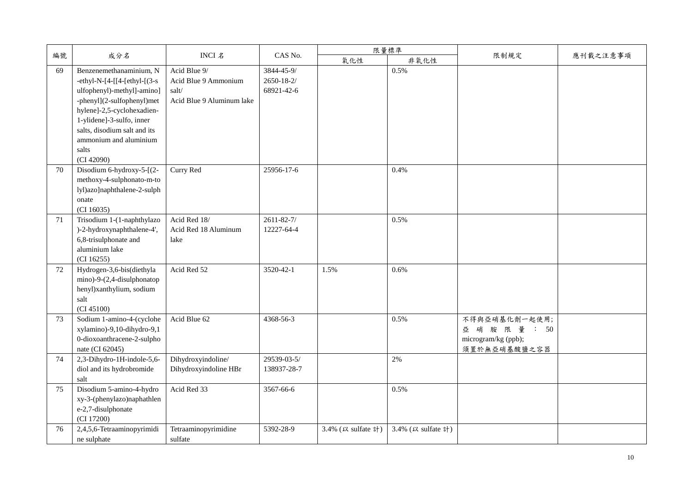|    |                                                                                                                                                                                                                                                                     |                                                                            |                                        |                    | 限量標準               |                                                                        |          |
|----|---------------------------------------------------------------------------------------------------------------------------------------------------------------------------------------------------------------------------------------------------------------------|----------------------------------------------------------------------------|----------------------------------------|--------------------|--------------------|------------------------------------------------------------------------|----------|
| 編號 | 成分名                                                                                                                                                                                                                                                                 | INCI 名                                                                     | CAS No.                                | 氧化性                | 非氧化性               | 限制規定                                                                   | 應刊載之注意事項 |
| 69 | Benzenemethanaminium, N<br>-ethyl-N-[4-[[4-[ethyl-[ $(3-s)$<br>ulfophenyl)-methyl]-amino]<br>-phenyl](2-sulfophenyl)met<br>hylene]-2,5-cyclohexadien-<br>1-ylidene]-3-sulfo, inner<br>salts, disodium salt and its<br>ammonium and aluminium<br>salts<br>(CI 42090) | Acid Blue 9/<br>Acid Blue 9 Ammonium<br>salt/<br>Acid Blue 9 Aluminum lake | 3844-45-9/<br>2650-18-2/<br>68921-42-6 |                    | 0.5%               |                                                                        |          |
| 70 | Disodium 6-hydroxy-5-[(2-<br>methoxy-4-sulphonato-m-to<br>lyl)azo]naphthalene-2-sulph<br>onate<br>(CI 16035)                                                                                                                                                        | Curry Red                                                                  | 25956-17-6                             |                    | 0.4%               |                                                                        |          |
| 71 | Trisodium 1-(1-naphthylazo<br>)-2-hydroxynaphthalene-4',<br>6,8-trisulphonate and<br>aluminium lake<br>(CI 16255)                                                                                                                                                   | Acid Red 18/<br>Acid Red 18 Aluminum<br>lake                               | $2611 - 82 - 7/$<br>12227-64-4         |                    | 0.5%               |                                                                        |          |
| 72 | Hydrogen-3,6-bis(diethyla<br>mino)-9-(2,4-disulphonatop<br>henyl)xanthylium, sodium<br>salt<br>(CI 45100)                                                                                                                                                           | Acid Red 52                                                                | 3520-42-1                              | 1.5%               | 0.6%               |                                                                        |          |
| 73 | Sodium 1-amino-4-(cyclohe<br>xylamino)-9,10-dihydro-9,1<br>0-dioxoanthracene-2-sulpho<br>nate (CI 62045)                                                                                                                                                            | Acid Blue 62                                                               | 4368-56-3                              |                    | 0.5%               | 不得與亞硝基化劑一起使用;<br>亞 硝 胺 限 量 : 50<br>microgram/kg (ppb);<br>須置於無亞硝基酸鹽之容器 |          |
| 74 | 2,3-Dihydro-1H-indole-5,6-<br>diol and its hydrobromide<br>salt                                                                                                                                                                                                     | Dihydroxyindoline/<br>Dihydroxyindoline HBr                                | 29539-03-5/<br>138937-28-7             |                    | 2%                 |                                                                        |          |
| 75 | Disodium 5-amino-4-hydro<br>xy-3-(phenylazo)naphathlen<br>e-2,7-disulphonate<br>(CI 17200)                                                                                                                                                                          | Acid Red 33                                                                | 3567-66-6                              |                    | 0.5%               |                                                                        |          |
| 76 | 2,4,5,6-Tetraaminopyrimidi<br>ne sulphate                                                                                                                                                                                                                           | Tetraaminopyrimidine<br>sulfate                                            | 5392-28-9                              | 3.4% (以 sulfate 計) | 3.4% (以 sulfate 計) |                                                                        |          |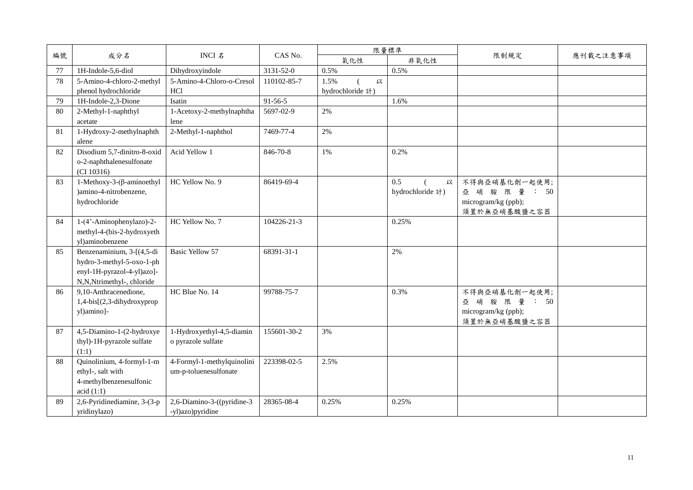|    |                                  |                            |             | 限量標準             |                  |                     |          |
|----|----------------------------------|----------------------------|-------------|------------------|------------------|---------------------|----------|
| 編號 | 成分名                              | INCI 名                     | CAS No.     | 氧化性              | 非氧化性             | 限制規定                | 應刊載之注意事項 |
| 77 | 1H-Indole-5,6-diol               | Dihydroxyindole            | 3131-52-0   | 0.5%             | 0.5%             |                     |          |
| 78 | 5-Amino-4-chloro-2-methyl        | 5-Amino-4-Chloro-o-Cresol  | 110102-85-7 | 1.5%<br>以        |                  |                     |          |
|    | phenol hydrochloride             | HCl                        |             | hydrochloride 計) |                  |                     |          |
| 79 | 1H-Indole-2,3-Dione              | Isatin                     | 91-56-5     |                  | 1.6%             |                     |          |
| 80 | 2-Methyl-1-naphthyl              | 1-Acetoxy-2-methylnaphtha  | 5697-02-9   | 2%               |                  |                     |          |
|    | acetate                          | lene                       |             |                  |                  |                     |          |
| 81 | 1-Hydroxy-2-methylnaphth         | 2-Methyl-1-naphthol        | 7469-77-4   | 2%               |                  |                     |          |
|    | alene                            |                            |             |                  |                  |                     |          |
| 82 | Disodium 5,7-dinitro-8-oxid      | Acid Yellow 1              | 846-70-8    | $1\%$            | 0.2%             |                     |          |
|    | o-2-naphthalenesulfonate         |                            |             |                  |                  |                     |          |
|    | (CI 10316)                       |                            |             |                  |                  |                     |          |
| 83 | $1-Methoxy-3-(\beta-aminoethyl)$ | HC Yellow No. 9            | 86419-69-4  |                  | 0.5<br>以         | 不得與亞硝基化劑一起使用;       |          |
|    | )amino-4-nitrobenzene,           |                            |             |                  | hydrochloride 計) | 亞 硝 胺 限 量 : 50      |          |
|    | hydrochloride                    |                            |             |                  |                  | microgram/kg (ppb); |          |
|    |                                  |                            |             |                  |                  | 須置於無亞硝基酸鹽之容器        |          |
| 84 | 1-(4'-Aminophenylazo)-2-         | HC Yellow No. 7            | 104226-21-3 |                  | 0.25%            |                     |          |
|    | methyl-4-(bis-2-hydroxyeth       |                            |             |                  |                  |                     |          |
|    | vl)aminobenzene                  |                            |             |                  |                  |                     |          |
| 85 | Benzenaminium, 3-[(4,5-di        | <b>Basic Yellow 57</b>     | 68391-31-1  |                  | 2%               |                     |          |
|    | hydro-3-methyl-5-oxo-1-ph        |                            |             |                  |                  |                     |          |
|    | enyl-1H-pyrazol-4-yl)azo]-       |                            |             |                  |                  |                     |          |
|    | N,N,Ntrimethyl-, chloride        |                            |             |                  |                  |                     |          |
| 86 | 9,10-Anthracenedione,            | HC Blue No. 14             | 99788-75-7  |                  | 0.3%             | 不得與亞硝基化劑一起使用;       |          |
|    | 1,4-bis[(2,3-dihydroxyprop       |                            |             |                  |                  | 亞 硝 胺 限 量 : 50      |          |
|    | yl)amino]-                       |                            |             |                  |                  | microgram/kg (ppb); |          |
|    |                                  |                            |             |                  |                  | 須置於無亞硝基酸鹽之容器        |          |
| 87 | 4,5-Diamino-1-(2-hydroxye        | 1-Hydroxyethyl-4,5-diamin  | 155601-30-2 | 3%               |                  |                     |          |
|    | thyl)-1H-pyrazole sulfate        | o pyrazole sulfate         |             |                  |                  |                     |          |
|    | (1:1)                            |                            |             |                  |                  |                     |          |
| 88 | Quinolinium, 4-formyl-1-m        | 4-Formyl-1-methylquinolini | 223398-02-5 | 2.5%             |                  |                     |          |
|    | ethyl-, salt with                | um-p-toluenesulfonate      |             |                  |                  |                     |          |
|    | 4-methylbenzenesulfonic          |                            |             |                  |                  |                     |          |
|    | acid(1:1)                        |                            |             |                  |                  |                     |          |
| 89 | 2,6-Pyridinediamine, 3-(3-p      | 2,6-Diamino-3-((pyridine-3 | 28365-08-4  | 0.25%            | 0.25%            |                     |          |
|    | yridinylazo)                     | -yl)azo)pyridine           |             |                  |                  |                     |          |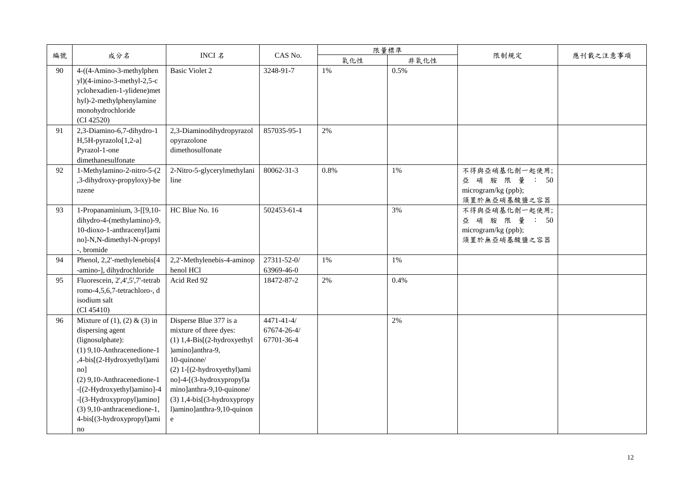|    |                                                                                                                                                                                                                                                                                                                            |                                                                                                                                                                                                                                                                                         |                                               |       | 限量標準  |                                                                        |          |
|----|----------------------------------------------------------------------------------------------------------------------------------------------------------------------------------------------------------------------------------------------------------------------------------------------------------------------------|-----------------------------------------------------------------------------------------------------------------------------------------------------------------------------------------------------------------------------------------------------------------------------------------|-----------------------------------------------|-------|-------|------------------------------------------------------------------------|----------|
| 編號 | 成分名                                                                                                                                                                                                                                                                                                                        | INCI 名                                                                                                                                                                                                                                                                                  | CAS No.                                       | 氧化性   | 非氧化性  | 限制規定                                                                   | 應刊載之注意事項 |
| 90 | 4-((4-Amino-3-methylphen<br>$y$ l)(4-imino-3-methyl-2,5-c<br>yclohexadien-1-ylidene)met<br>hyl)-2-methylphenylamine<br>monohydrochloride<br>(CI 42520)                                                                                                                                                                     | <b>Basic Violet 2</b>                                                                                                                                                                                                                                                                   | 3248-91-7                                     | 1%    | 0.5%  |                                                                        |          |
| 91 | 2,3-Diamino-6,7-dihydro-1<br>H,5H-pyrazolo[1,2-a]<br>Pyrazol-1-one<br>dimethanesulfonate                                                                                                                                                                                                                                   | 2,3-Diaminodihydropyrazol<br>opyrazolone<br>dimethosulfonate                                                                                                                                                                                                                            | 857035-95-1                                   | 2%    |       |                                                                        |          |
| 92 | 1-Methylamino-2-nitro-5-(2<br>,3-dihydroxy-propyloxy)-be<br>nzene                                                                                                                                                                                                                                                          | 2-Nitro-5-glycerylmethylani<br>line                                                                                                                                                                                                                                                     | 80062-31-3                                    | 0.8%  | 1%    | 不得與亞硝基化劑一起使用;<br>亞 硝 胺 限 量 : 50<br>microgram/kg (ppb);<br>須置於無亞硝基酸鹽之容器 |          |
| 93 | 1-Propanaminium, 3-[[9,10-<br>dihydro-4-(methylamino)-9,<br>10-dioxo-1-anthracenyl]ami<br>no]-N,N-dimethyl-N-propyl<br>-, bromide                                                                                                                                                                                          | HC Blue No. 16                                                                                                                                                                                                                                                                          | 502453-61-4                                   |       | 3%    | 不得與亞硝基化劑一起使用;<br>亞 硝 胺 限 量 : 50<br>microgram/kg (ppb);<br>須置於無亞硝基酸鹽之容器 |          |
| 94 | Phenol, 2,2'-methylenebis[4<br>-amino-], dihydrochloride                                                                                                                                                                                                                                                                   | 2,2'-Methylenebis-4-aminop<br>henol HCl                                                                                                                                                                                                                                                 | 27311-52-0/<br>63969-46-0                     | $1\%$ | 1%    |                                                                        |          |
| 95 | Fluorescein, 2',4',5',7'-tetrab<br>romo-4,5,6,7-tetrachloro-, d<br>isodium salt<br>(CI 45410)                                                                                                                                                                                                                              | Acid Red 92                                                                                                                                                                                                                                                                             | 18472-87-2                                    | 2%    | 0.4%  |                                                                        |          |
| 96 | Mixture of $(1)$ , $(2)$ & $(3)$ in<br>dispersing agent<br>(lignosulphate):<br>$(1)$ 9,10-Anthracenedione-1<br>,4-bis[(2-Hydroxyethyl)ami<br>no <sub>l</sub><br>(2) 9,10-Anthracenedione-1<br>-[(2-Hydroxyethyl)amino]-4<br>-[(3-Hydroxypropyl)amino]<br>$(3)$ 9,10-anthracenedione-1,<br>4-bis[(3-hydroxypropyl)ami<br>no | Disperse Blue 377 is a<br>mixture of three dyes:<br>$(1)$ 1,4-Bis[ $(2-hydroxyethyl$<br>)amino]anthra-9,<br>10-quinone/<br>(2) 1-[(2-hydroxyethyl)ami<br>no]-4-[(3-hydroxypropyl)a<br>mino]anthra-9,10-quinone/<br>$(3)$ 1,4-bis[ $(3-hydroxypropy)$<br>l)amino]anthra-9,10-quinon<br>e | $4471 - 41 - 4/$<br>67674-26-4/<br>67701-36-4 |       | $2\%$ |                                                                        |          |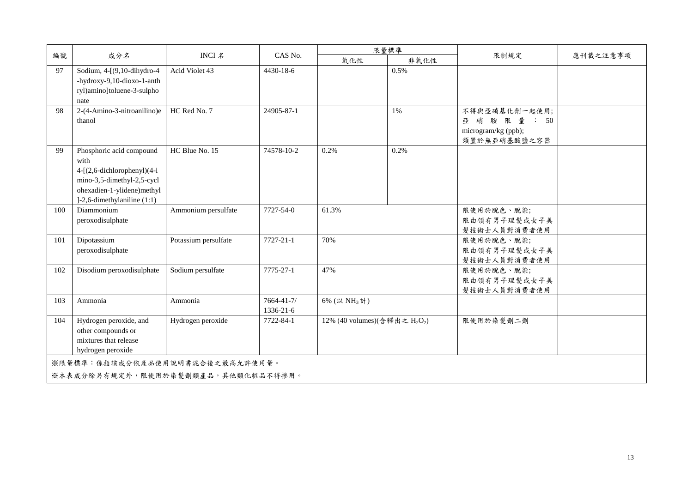|                                                                       | 成分名                                                                                                                                                             | INCI 名               | CAS No.                 | 限量標準                                                  |      |                                                                        |          |  |
|-----------------------------------------------------------------------|-----------------------------------------------------------------------------------------------------------------------------------------------------------------|----------------------|-------------------------|-------------------------------------------------------|------|------------------------------------------------------------------------|----------|--|
| 編號                                                                    |                                                                                                                                                                 |                      |                         | 氧化性                                                   | 非氧化性 | 限制規定                                                                   | 應刊載之注意事項 |  |
| 97                                                                    | Sodium, 4-[(9,10-dihydro-4<br>-hydroxy-9,10-dioxo-1-anth<br>ryl)amino]toluene-3-sulpho<br>nate                                                                  | Acid Violet 43       | 4430-18-6               |                                                       | 0.5% |                                                                        |          |  |
| 98                                                                    | 2-(4-Amino-3-nitroanilino)e<br>thanol                                                                                                                           | HC Red No. 7         | 24905-87-1              |                                                       | 1%   | 不得與亞硝基化劑一起使用;<br>亞 硝 胺 限 量 : 50<br>microgram/kg (ppb);<br>須置於無亞硝基酸鹽之容器 |          |  |
| 99                                                                    | Phosphoric acid compound<br>with<br>4-[(2,6-dichlorophenyl)(4-i<br>mino-3,5-dimethyl-2,5-cycl<br>ohexadien-1-ylidene)methyl<br>$]-2,6$ -dimethylaniline $(1:1)$ | HC Blue No. 15       | 74578-10-2              | 0.2%                                                  | 0.2% |                                                                        |          |  |
| 100                                                                   | Diammonium<br>peroxodisulphate                                                                                                                                  | Ammonium persulfate  | 7727-54-0               | 61.3%                                                 |      | 限使用於脫色、脫染;<br>限由領有男子理髮或女子美<br>髮技術士人員對消費者使用                             |          |  |
| 101                                                                   | Dipotassium<br>peroxodisulphate                                                                                                                                 | Potassium persulfate | 7727-21-1               | 70%                                                   |      | 限使用於脫色、脫染;<br>限由領有男子理髮或女子美<br>髮技術士人員對消費者使用                             |          |  |
| 102                                                                   | Disodium peroxodisulphate                                                                                                                                       | Sodium persulfate    | 7775-27-1               | 47%                                                   |      | 限使用於脫色、脫染;<br>限由領有男子理髮或女子美<br>髮技術士人員對消費者使用                             |          |  |
| 103                                                                   | Ammonia                                                                                                                                                         | Ammonia              | 7664-41-7/<br>1336-21-6 | 6% (以 NH <sub>3</sub> 計)                              |      |                                                                        |          |  |
| 104                                                                   | Hydrogen peroxide, and<br>other compounds or<br>mixtures that release<br>hydrogen peroxide                                                                      | Hydrogen peroxide    | 7722-84-1               | 12% (40 volumes)(含釋出之 H <sub>2</sub> O <sub>2</sub> ) |      | 限使用於染髮劑二劑                                                              |          |  |
| ※限量標準:係指該成分依產品使用說明書混合後之最高允許使用量。<br>※本表成分除另有規定外,限使用於染髮劑類產品,其他類化粧品不得掺用。 |                                                                                                                                                                 |                      |                         |                                                       |      |                                                                        |          |  |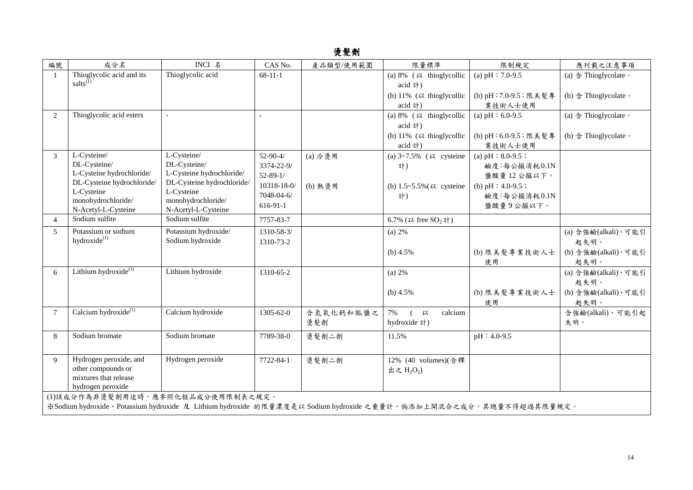## 燙髮劑

| 編號                                                                                                               | 成分名                                      | INCI 名                                   | CAS No.        | 產品類型/使用範圍 | 限量標準                                | 限制規定                  | 應刊載之注意事項                               |  |  |
|------------------------------------------------------------------------------------------------------------------|------------------------------------------|------------------------------------------|----------------|-----------|-------------------------------------|-----------------------|----------------------------------------|--|--|
| $\overline{1}$                                                                                                   | Thioglycolic acid and its                | Thioglycolic acid                        | $68 - 11 - 1$  |           | (a) $8\%$ ( $\mu$ thioglycollic     | (a) $pH : 7.0-9.5$    | (a) 含 Thioglycolate。                   |  |  |
|                                                                                                                  | salts $^{(1)}$                           |                                          |                |           | acid 計)                             |                       |                                        |  |  |
|                                                                                                                  |                                          |                                          |                |           | (b) $11\%$ ( $\upmu$ thioglycollic  | (b) pH: 7.0-9.5; 限美髮專 | (b) $\triangleq$ Thioglycolate $\circ$ |  |  |
|                                                                                                                  |                                          |                                          |                |           | acid 計)                             | 業技術人士使用               |                                        |  |  |
| 2                                                                                                                | Thioglycolic acid esters                 |                                          |                |           | (a) $8\%$ ( $\kappa$ thioglycollic  | (a) $pH: 6.0-9.5$     | (a) 含 Thioglycolate。                   |  |  |
|                                                                                                                  |                                          |                                          |                |           | acid 計)                             |                       |                                        |  |  |
|                                                                                                                  |                                          |                                          |                |           | (b) $11\%$ ( $\upmu$ thioglycollic  | (b) pH:6.0-9.5; 限美髮專  | (b) $\triangleq$ Thioglycolate $\circ$ |  |  |
|                                                                                                                  |                                          |                                          |                |           | acid 計)                             | 業技術人士使用               |                                        |  |  |
| 3                                                                                                                | L-Cysteine/                              | L-Cysteine/                              | $52 - 90 - 4/$ | (a) 冷燙用   | (a) $3 \sim 7.5\%$ ( $\mu$ cysteine | (a) $pH : 8.0-9.5$ ;  |                                        |  |  |
|                                                                                                                  | DL-Cysteine/                             | DL-Cysteine/                             | 3374-22-9/     |           | 計)                                  | 鹼度:每公撮消耗0.1N          |                                        |  |  |
|                                                                                                                  | L-Cysteine hydrochloride/                | L-Cysteine hydrochloride/                | $52 - 89 - 1/$ |           |                                     | 鹽酸量12公撮以下。            |                                        |  |  |
|                                                                                                                  | DL-Cysteine hydrochloride/<br>L-Cysteine | DL-Cysteine hydrochloride/<br>L-Cysteine | 10318-18-0/    | (b) 熱燙用   | (b) $1.5 - 5.5\%$ ( $\mu$ cysteine  | (b) $pH : 4.0-9.5$ ;  |                                        |  |  |
|                                                                                                                  | monohydrochloride/                       | monohydrochloride/                       | 7048-04-6/     |           | 計)                                  | 鹼度:每公撮消耗0.1N          |                                        |  |  |
|                                                                                                                  | N-Acetyl-L-Cysteine                      | N-Acetyl-L-Cysteine                      | 616-91-1       |           |                                     | 鹽酸量9公撮以下。             |                                        |  |  |
| $\overline{4}$                                                                                                   | Sodium sulfite                           | Sodium sulfite                           | 7757-83-7      |           | 6.7% (以 free SO <sub>2</sub> 計)     |                       |                                        |  |  |
| 5                                                                                                                | Potassium or sodium                      | Potassium hydroxide/                     | 1310-58-3/     |           | (a) 2%                              |                       | (a) 含強鹼(alkali)、可能引                    |  |  |
|                                                                                                                  | hydroxide <sup>(1)</sup>                 | Sodium hydroxide                         | 1310-73-2      |           |                                     |                       | 起失明。                                   |  |  |
|                                                                                                                  |                                          |                                          |                |           | (b) $4.5%$                          | (b) 限美髮專業技術人士         | (b) 含強鹼(alkali)、可能引                    |  |  |
|                                                                                                                  |                                          |                                          |                |           |                                     | 使用                    | 起失明。                                   |  |  |
| 6                                                                                                                | Lithium hydroxide $^{(1)}$               | Lithium hydroxide                        | 1310-65-2      |           | (a) $2%$                            |                       | (a) 含強鹼(alkali)、可能引                    |  |  |
|                                                                                                                  |                                          |                                          |                |           |                                     |                       | 起失明。                                   |  |  |
|                                                                                                                  |                                          |                                          |                |           | (b) $4.5\%$                         | (b) 限美髮專業技術人士         | (b) 含強鹼(alkali)、可能引                    |  |  |
|                                                                                                                  |                                          |                                          |                |           |                                     | 使用                    | 起失明。                                   |  |  |
| $\overline{7}$                                                                                                   | Calcium hydroxide $^{(1)}$               | Calcium hydroxide                        | 1305-62-0      | 含氫氧化鈣和胍鹽之 | 7%<br>以<br>calcium<br>$\left($      |                       | 含強鹼(alkali)、可能引起                       |  |  |
|                                                                                                                  |                                          |                                          |                | 燙髮劑       | hydroxide 計)                        |                       | 失明。                                    |  |  |
| 8                                                                                                                | Sodium bromate                           | Sodium bromate                           | 7789-38-0      | 燙髮劑二劑     | 11.5%                               | $pH: 4.0-9.5$         |                                        |  |  |
|                                                                                                                  |                                          |                                          |                |           |                                     |                       |                                        |  |  |
| $\mathbf{Q}$                                                                                                     | Hydrogen peroxide, and                   | Hydrogen peroxide                        | 7722-84-1      | 燙髮劑二劑     | 12% (40 volumes)(含釋                 |                       |                                        |  |  |
|                                                                                                                  | other compounds or                       |                                          |                |           | 出之 $H_2O_2$                         |                       |                                        |  |  |
|                                                                                                                  | mixtures that release                    |                                          |                |           |                                     |                       |                                        |  |  |
|                                                                                                                  | hydrogen peroxide                        |                                          |                |           |                                     |                       |                                        |  |  |
|                                                                                                                  | (1)該成分作為非燙髮劑用途時,應參照化粧品成分使用限制表之規定。        |                                          |                |           |                                     |                       |                                        |  |  |
| ※Sodium hydroxide、Potassium hydroxide 及 Lithium hydroxide 的限量濃度是以 Sodium hydroxide 之重量計。倘添加上開混合之成分,其總量不得超過其限量規定。 |                                          |                                          |                |           |                                     |                       |                                        |  |  |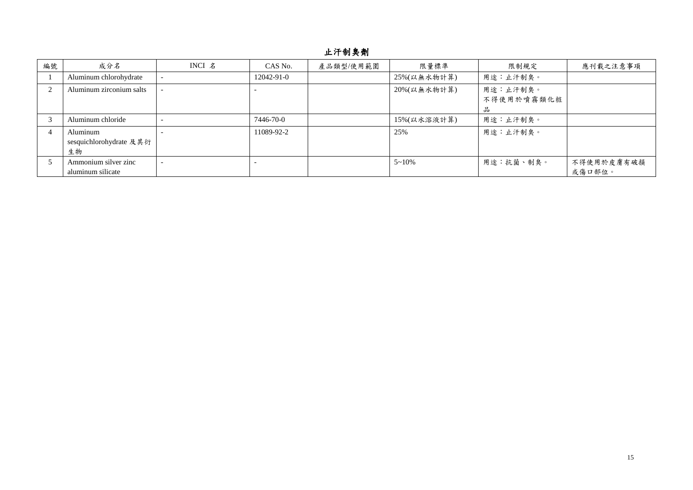## 止汗制臭劑

| 編號 | 成分名                                       | INCI $\AA$ | CAS No.    | 產品類型/使用範圍 | 限量標準          | 限制規定                   | 應刊載之注意事項             |
|----|-------------------------------------------|------------|------------|-----------|---------------|------------------------|----------------------|
|    | Aluminum chlorohydrate                    |            | 12042-91-0 |           | 25%(以無水物計算)   | 用途:止汗制臭。               |                      |
|    | Aluminum zirconium salts                  |            |            |           | 20%(以無水物計算)   | 用途:止汗制臭。<br>不得使用於噴霧類化粧 |                      |
|    |                                           |            |            |           |               | 品                      |                      |
|    | Aluminum chloride                         |            | 7446-70-0  |           | 15%(以水溶液計算)   | 用途:止汗制臭。               |                      |
|    | Aluminum<br>sesquichlorohydrate 及其衍<br>生物 |            | 11089-92-2 |           | 25%           | 用途:止汗制臭。               |                      |
|    | Ammonium silver zinc<br>aluminum silicate |            |            |           | $5 \sim 10\%$ | 用途:抗菌、制臭。              | 不得使用於皮膚有破損<br>或傷口部位。 |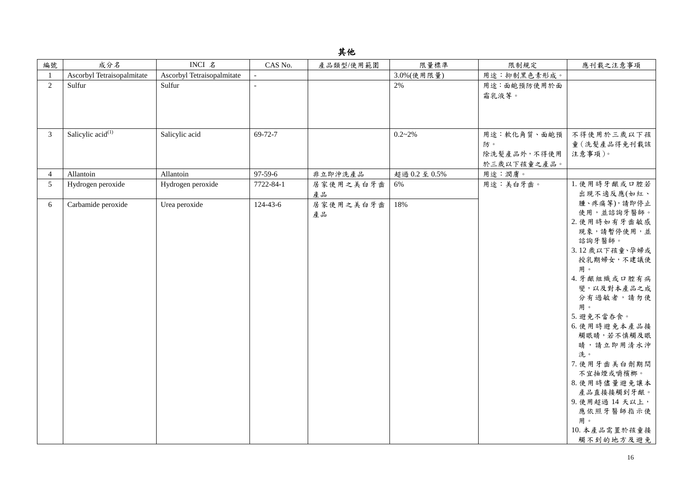| ш |
|---|
|---|

| 編號              | 成分名                                      | INCI 名                     | CAS No.        | 產品類型/使用範圍 | 限量標準        | 限制規定              | 應刊載之注意事項                   |
|-----------------|------------------------------------------|----------------------------|----------------|-----------|-------------|-------------------|----------------------------|
|                 | Ascorbyl Tetraisopalmitate               | Ascorbyl Tetraisopalmitate |                |           | 3.0%(使用限量)  | 用途:抑制黑色素形成。       |                            |
| 2               | Sulfur                                   | Sulfur                     |                |           | 2%          | 用途:面皰預防使用於面       |                            |
|                 |                                          |                            |                |           |             | 霜乳液等。             |                            |
|                 |                                          |                            |                |           |             |                   |                            |
|                 |                                          |                            |                |           |             |                   |                            |
| $\mathfrak{Z}$  | Salicylic $\overline{\text{acid}}^{(1)}$ | Salicylic acid             | 69-72-7        |           | $0.2 - 2\%$ |                   | 不得使用於三歲以下孩                 |
|                 |                                          |                            |                |           |             | 用途:軟化角質、面皰預<br>防。 |                            |
|                 |                                          |                            |                |           |             | 除洗髮產品外,不得使用       | 童 (洗髮產品得免刊載該<br>注意事項)。     |
|                 |                                          |                            |                |           |             | 於三歲以下孩童之產品。       |                            |
| $\overline{4}$  | Allantoin                                | Allantoin                  | 97-59-6        | 非立即沖洗產品   | 超過0.2至0.5%  | 用途:潤膚。            |                            |
| $5\overline{)}$ | Hydrogen peroxide                        | Hydrogen peroxide          | 7722-84-1      | 居家使用之美白牙齒 | 6%          | 用途:美白牙齒。          | 1. 使用時牙齦或口腔若               |
|                 |                                          |                            |                | 產品        |             |                   | 出現不適反應(如紅、                 |
| 6               | Carbamide peroxide                       | Urea peroxide              | $124 - 43 - 6$ | 居家使用之美白牙齒 | 18%         |                   | 腫、疼痛等),請即停止                |
|                 |                                          |                            |                | 產品        |             |                   | 使用,並諮詢牙醫師。                 |
|                 |                                          |                            |                |           |             |                   | 2. 使用時如有牙齒敏感               |
|                 |                                          |                            |                |           |             |                   | 現象,請暫停使用,並                 |
|                 |                                          |                            |                |           |             |                   | 諮詢牙醫師。                     |
|                 |                                          |                            |                |           |             |                   | 3.12 歲以下孩童、孕婦或             |
|                 |                                          |                            |                |           |             |                   | 授乳期婦女,不建議使                 |
|                 |                                          |                            |                |           |             |                   | 用。                         |
|                 |                                          |                            |                |           |             |                   | 4. 牙齦組織或口腔有病               |
|                 |                                          |                            |                |           |             |                   | 變,以及對本產品之成                 |
|                 |                                          |                            |                |           |             |                   | 分有過敏者,請勿使                  |
|                 |                                          |                            |                |           |             |                   | 用。                         |
|                 |                                          |                            |                |           |             |                   | 5. 避免不當吞食。                 |
|                 |                                          |                            |                |           |             |                   | 6. 使用時避免本產品接<br>觸眼睛,若不慎觸及眼 |
|                 |                                          |                            |                |           |             |                   | 睛,請立即用清水沖                  |
|                 |                                          |                            |                |           |             |                   | 洗。                         |
|                 |                                          |                            |                |           |             |                   | 7. 使用牙齒美白劑期間               |
|                 |                                          |                            |                |           |             |                   | 不宜抽煙或嚼檳榔。                  |
|                 |                                          |                            |                |           |             |                   | 8. 使用時儘量避免讓本               |
|                 |                                          |                            |                |           |             |                   | 產品直接接觸到牙齦。                 |
|                 |                                          |                            |                |           |             |                   | 9. 使用超過 14 天以上,            |
|                 |                                          |                            |                |           |             |                   | 應依照牙醫師指示使                  |
|                 |                                          |                            |                |           |             |                   | 用。                         |
|                 |                                          |                            |                |           |             |                   | 10. 本產品需置於孩童接              |
|                 |                                          |                            |                |           |             |                   | 觸不到的地方及避免                  |